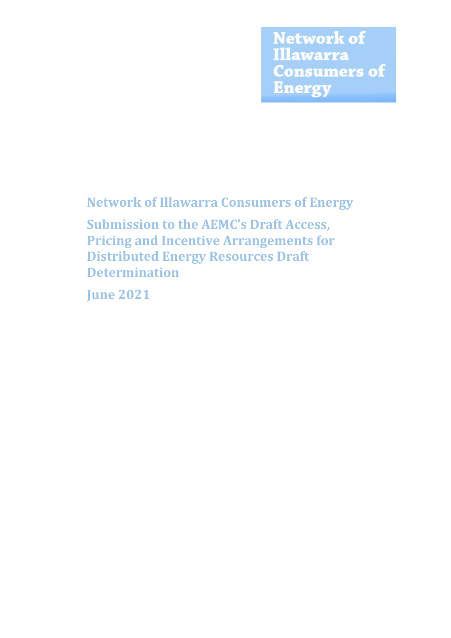**Network of Illawarra Consumers of Energy** 

**Network of Illawarra Consumers of Energy**

**Submission to the AEMC's Draft Access, Pricing and Incentive Arrangements for Distributed Energy Resources Draft Determination**

**June 2021**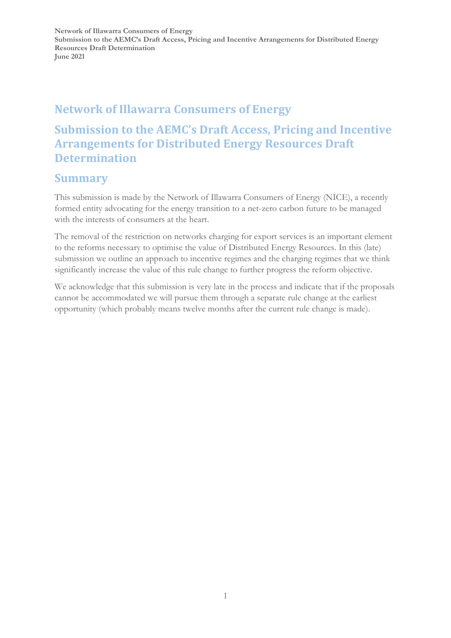## **Network of Illawarra Consumers of Energy**

## **Submission to the AEMC's Draft Access, Pricing and Incentive Arrangements for Distributed Energy Resources Draft Determination**

### **Summary**

This submission is made by the Network of Illawarra Consumers of Energy (NICE), a recently formed entity advocating for the energy transition to a net-zero carbon future to be managed with the interests of consumers at the heart.

The removal of the restriction on networks charging for export services is an important element to the reforms necessary to optimise the value of Distributed Energy Resources. In this (late) submission we outline an approach to incentive regimes and the charging regimes that we think significantly increase the value of this rule change to further progress the reform objective.

We acknowledge that this submission is very late in the process and indicate that if the proposals cannot be accommodated we will pursue them through a separate rule change at the earliest opportunity (which probably means twelve months after the current rule change is made).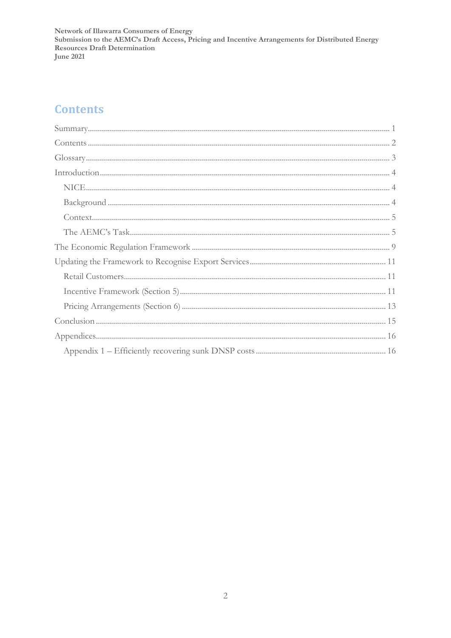# **Contents**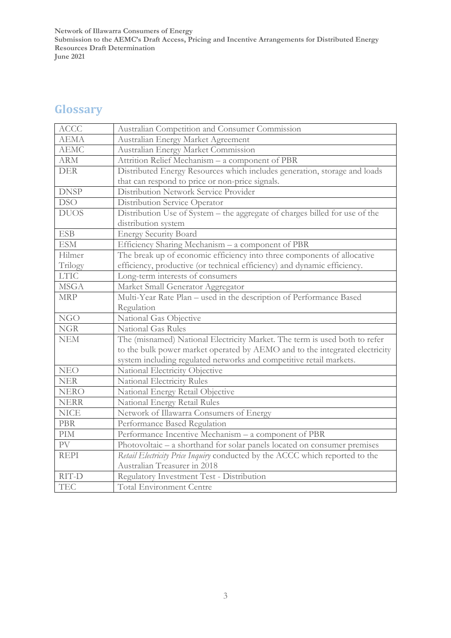# **Glossary**

| <b>ACCC</b> | Australian Competition and Consumer Commission                               |
|-------------|------------------------------------------------------------------------------|
| <b>AEMA</b> | Australian Energy Market Agreement                                           |
| <b>AEMC</b> | Australian Energy Market Commission                                          |
| <b>ARM</b>  | Attrition Relief Mechanism - a component of PBR                              |
| <b>DER</b>  | Distributed Energy Resources which includes generation, storage and loads    |
|             | that can respond to price or non-price signals.                              |
| <b>DNSP</b> | Distribution Network Service Provider                                        |
| <b>DSO</b>  | Distribution Service Operator                                                |
| <b>DUOS</b> | Distribution Use of System - the aggregate of charges billed for use of the  |
|             | distribution system                                                          |
| <b>ESB</b>  | <b>Energy Security Board</b>                                                 |
| <b>ESM</b>  | Efficiency Sharing Mechanism - a component of PBR                            |
| Hilmer      | The break up of economic efficiency into three components of allocative      |
| Trilogy     | efficiency, productive (or technical efficiency) and dynamic efficiency.     |
| <b>LTIC</b> | Long-term interests of consumers                                             |
| <b>MSGA</b> | Market Small Generator Aggregator                                            |
| <b>MRP</b>  | Multi-Year Rate Plan - used in the description of Performance Based          |
|             | Regulation                                                                   |
| <b>NGO</b>  | National Gas Objective                                                       |
| <b>NGR</b>  | <b>National Gas Rules</b>                                                    |
| <b>NEM</b>  | The (misnamed) National Electricity Market. The term is used both to refer   |
|             | to the bulk power market operated by AEMO and to the integrated electricity  |
|             | system including regulated networks and competitive retail markets.          |
| <b>NEO</b>  | National Electricity Objective                                               |
| <b>NER</b>  | National Electricity Rules                                                   |
| <b>NERO</b> | National Energy Retail Objective                                             |
| <b>NERR</b> | National Energy Retail Rules                                                 |
| <b>NICE</b> | Network of Illawarra Consumers of Energy                                     |
| <b>PBR</b>  | Performance Based Regulation                                                 |
| PIM         | Performance Incentive Mechanism - a component of PBR                         |
| ${\rm PV}$  | Photovoltaic – a shorthand for solar panels located on consumer premises     |
| <b>REPI</b> | Retail Electricity Price Inquiry conducted by the ACCC which reported to the |
|             | Australian Treasurer in 2018                                                 |
| RIT-D       | Regulatory Investment Test - Distribution                                    |
| <b>TEC</b>  | <b>Total Environment Centre</b>                                              |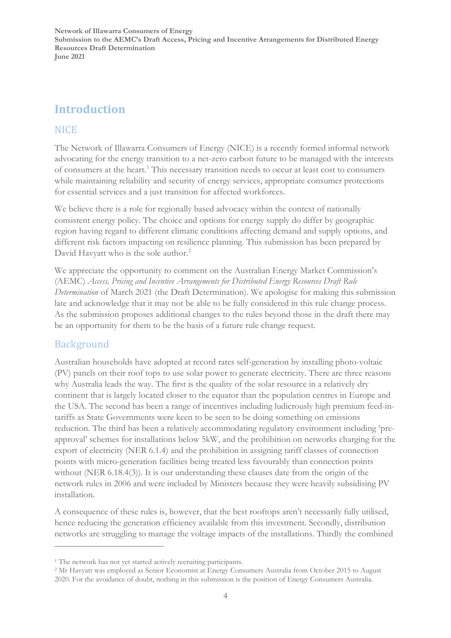## **Introduction**

### NICE

The Network of Illawarra Consumers of Energy (NICE) is a recently formed informal network advocating for the energy transition to a net-zero carbon future to be managed with the interests of consumers at the heart.[1](#page-4-0) This necessary transition needs to occur at least cost to consumers while maintaining reliability and security of energy services, appropriate consumer protections for essential services and a just transition for affected workforces.

We believe there is a role for regionally based advocacy within the context of nationally consistent energy policy. The choice and options for energy supply do differ by geographic region having regard to different climatic conditions affecting demand and supply options, and different risk factors impacting on resilience planning. This submission has been prepared by David Havyatt who is the sole author.<sup>[2](#page-4-1)</sup>

We appreciate the opportunity to comment on the Australian Energy Market Commission's (AEMC) *Access, Pricing and Incentive Arrangements for Distributed Energy Resources Draft Rule Determination* of March 2021 (the Draft Determination). We apologise for making this submission late and acknowledge that it may not be able to be fully considered in this rule change process. As the submission proposes additional changes to the rules beyond those in the draft there may be an opportunity for them to be the basis of a future rule change request.

### Background

Australian households have adopted at record rates self-generation by installing photo-voltaic (PV) panels on their roof tops to use solar power to generate electricity. There are three reasons why Australia leads the way. The first is the quality of the solar resource in a relatively dry continent that is largely located closer to the equator than the population centres in Europe and the USA. The second has been a range of incentives including ludicrously high premium feed-intariffs as State Governments were keen to be seen to be doing something on emissions reduction. The third has been a relatively accommodating regulatory environment including 'preapproval' schemes for installations below 5kW, and the prohibition on networks charging for the export of electricity (NER 6.1.4) and the prohibition in assigning tariff classes of connection points with micro-generation facilities being treated less favourably than connection points without (NER 6.18.4(3)). It is our understanding these clauses date from the origin of the network rules in 2006 and were included by Ministers because they were heavily subsidising PV installation.

A consequence of these rules is, however, that the best rooftops aren't necessarily fully utilised, hence reducing the generation efficiency available from this investment. Secondly, distribution networks are struggling to manage the voltage impacts of the installations. Thirdly the combined

<span id="page-4-0"></span><sup>&</sup>lt;sup>1</sup> The network has not yet started actively recruiting participants.

<span id="page-4-1"></span><sup>2</sup> Mr Havyatt was employed as Senior Economist at Energy Consumers Australia from October 2015 to August 2020. For the avoidance of doubt, nothing in this submission is the position of Energy Consumers Australia.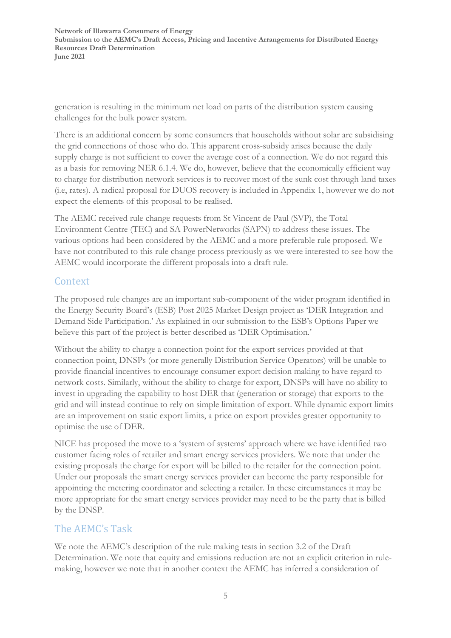generation is resulting in the minimum net load on parts of the distribution system causing challenges for the bulk power system.

There is an additional concern by some consumers that households without solar are subsidising the grid connections of those who do. This apparent cross-subsidy arises because the daily supply charge is not sufficient to cover the average cost of a connection. We do not regard this as a basis for removing NER 6.1.4. We do, however, believe that the economically efficient way to charge for distribution network services is to recover most of the sunk cost through land taxes (i.e, rates). A radical proposal for DUOS recovery is included in Appendix 1, however we do not expect the elements of this proposal to be realised.

The AEMC received rule change requests from St Vincent de Paul (SVP), the Total Environment Centre (TEC) and SA PowerNetworks (SAPN) to address these issues. The various options had been considered by the AEMC and a more preferable rule proposed. We have not contributed to this rule change process previously as we were interested to see how the AEMC would incorporate the different proposals into a draft rule.

### Context

The proposed rule changes are an important sub-component of the wider program identified in the Energy Security Board's (ESB) Post 2025 Market Design project as 'DER Integration and Demand Side Participation.' As explained in our submission to the ESB's Options Paper we believe this part of the project is better described as 'DER Optimisation.'

Without the ability to charge a connection point for the export services provided at that connection point, DNSPs (or more generally Distribution Service Operators) will be unable to provide financial incentives to encourage consumer export decision making to have regard to network costs. Similarly, without the ability to charge for export, DNSPs will have no ability to invest in upgrading the capability to host DER that (generation or storage) that exports to the grid and will instead continue to rely on simple limitation of export. While dynamic export limits are an improvement on static export limits, a price on export provides greater opportunity to optimise the use of DER.

NICE has proposed the move to a 'system of systems' approach where we have identified two customer facing roles of retailer and smart energy services providers. We note that under the existing proposals the charge for export will be billed to the retailer for the connection point. Under our proposals the smart energy services provider can become the party responsible for appointing the metering coordinator and selecting a retailer. In these circumstances it may be more appropriate for the smart energy services provider may need to be the party that is billed by the DNSP.

### The AEMC's Task

We note the AEMC's description of the rule making tests in section 3.2 of the Draft Determination. We note that equity and emissions reduction are not an explicit criterion in rulemaking, however we note that in another context the AEMC has inferred a consideration of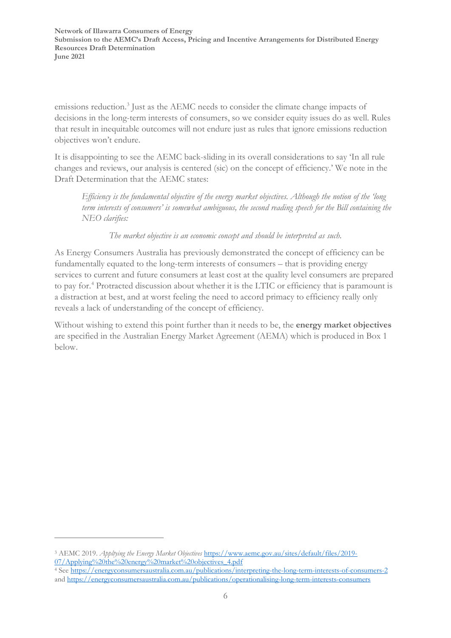emissions reduction.<sup>[3](#page-6-0)</sup> Just as the AEMC needs to consider the climate change impacts of decisions in the long-term interests of consumers, so we consider equity issues do as well. Rules that result in inequitable outcomes will not endure just as rules that ignore emissions reduction objectives won't endure.

It is disappointing to see the AEMC back-sliding in its overall considerations to say 'In all rule changes and reviews, our analysis is centered (sic) on the concept of efficiency.' We note in the Draft Determination that the AEMC states:

*Efficiency is the fundamental objective of the energy market objectives. Although the notion of the 'long term interests of consumers' is somewhat ambiguous, the second reading speech for the Bill containing the NEO clarifies:*

*The market objective is an economic concept and should be interpreted as such.*

As Energy Consumers Australia has previously demonstrated the concept of efficiency can be fundamentally equated to the long-term interests of consumers – that is providing energy services to current and future consumers at least cost at the quality level consumers are prepared to pay for.[4](#page-6-1) Protracted discussion about whether it is the LTIC or efficiency that is paramount is a distraction at best, and at worst feeling the need to accord primacy to efficiency really only reveals a lack of understanding of the concept of efficiency.

Without wishing to extend this point further than it needs to be, the **energy market objectives** are specified in the Australian Energy Market Agreement (AEMA) which is produced in Box 1 below.

<span id="page-6-0"></span><sup>3</sup> AEMC 2019. *Appltying the Energy Market Objectives* [https://www.aemc.gov.au/sites/default/files/2019-](https://www.aemc.gov.au/sites/default/files/2019-07/Applying%20the%20energy%20market%20objectives_4.pdf) [07/Applying%20the%20energy%20market%20objectives\\_4.pdf](https://www.aemc.gov.au/sites/default/files/2019-07/Applying%20the%20energy%20market%20objectives_4.pdf)

<span id="page-6-1"></span><sup>4</sup> See<https://energyconsumersaustralia.com.au/publications/interpreting-the-long-term-interests-of-consumers-2> an[d https://energyconsumersaustralia.com.au/publications/operationalising-long-term-interests-consumers](https://energyconsumersaustralia.com.au/publications/operationalising-long-term-interests-consumers)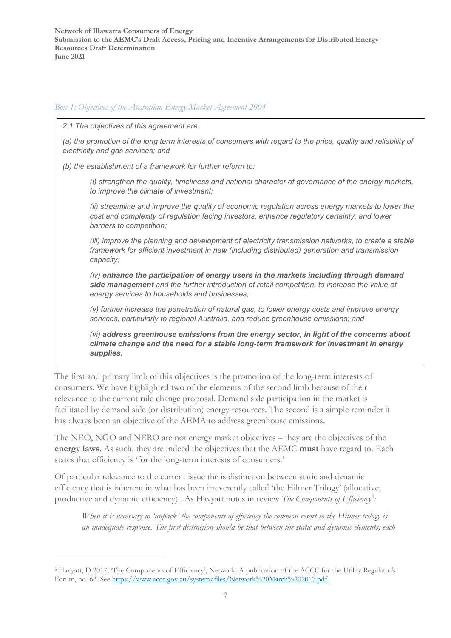#### *Box 1: Objectives of the Australian Energy Market Agreement 2004*

*2.1 The objectives of this agreement are:*

*(a) the promotion of the long term interests of consumers with regard to the price, quality and reliability of electricity and gas services; and*

*(b) the establishment of a framework for further reform to:*

*(i) strengthen the quality, timeliness and national character of governance of the energy markets, to improve the climate of investment;*

*(ii) streamline and improve the quality of economic regulation across energy markets to lower the cost and complexity of regulation facing investors, enhance regulatory certainty, and lower barriers to competition;*

*(iii) improve the planning and development of electricity transmission networks, to create a stable framework for efficient investment in new (including distributed) generation and transmission capacity;*

*(iv) enhance the participation of energy users in the markets including through demand side management and the further introduction of retail competition, to increase the value of energy services to households and businesses;*

*(v) further increase the penetration of natural gas, to lower energy costs and improve energy services, particularly to regional Australia, and reduce greenhouse emissions; and*

*(vi) address greenhouse emissions from the energy sector, in light of the concerns about climate change and the need for a stable long-term framework for investment in energy supplies.*

The first and primary limb of this objectives is the promotion of the long-term interests of consumers. We have highlighted two of the elements of the second limb because of their relevance to the current rule change proposal. Demand side participation in the market is facilitated by demand side (or distribution) energy resources. The second is a simple reminder it has always been an objective of the AEMA to address greenhouse emissions.

The NEO, NGO and NERO are not energy market objectives – they are the objectives of the **energy laws**. As such, they are indeed the objectives that the AEMC **must** have regard to. Each states that efficiency is 'for the long-term interests of consumers.'

Of particular relevance to the current issue the is distinction between static and dynamic efficiency that is inherent in what has been irreverently called 'the Hilmer Trilogy' (allocative, productive and dynamic efficiency). As Havyatt notes in review *The Components of Efficiency<sup>[5](#page-7-0)</sup>*:

*When it is necessary to 'unpack' the components of efficiency the common resort to the Hilmer trilogy is an inadequate response. The first distinction should be that between the static and dynamic elements; each* 

<span id="page-7-0"></span><sup>5</sup> Havyatt, D 2017, 'The Components of Efficiency', Network: A publication of the ACCC for the Utility Regulator's Forum, no. 62. See<https://www.accc.gov.au/system/files/Network%20March%202017.pdf>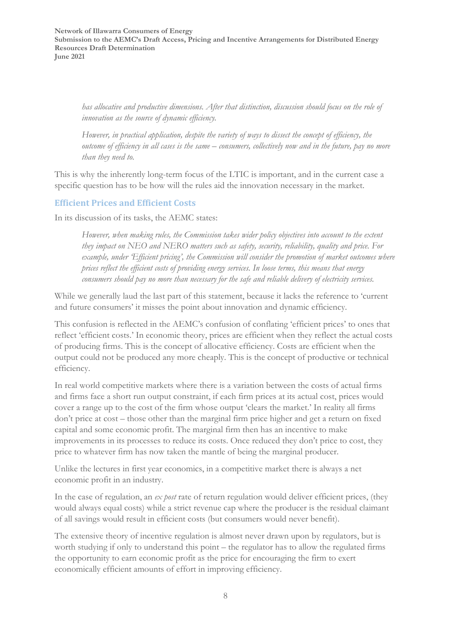*has allocative and productive dimensions. After that distinction, discussion should focus on the role of innovation as the source of dynamic efficiency.* 

*However, in practical application, despite the variety of ways to dissect the concept of efficiency, the outcome of efficiency in all cases is the same – consumers, collectively now and in the future, pay no more than they need to.*

This is why the inherently long-term focus of the LTIC is important, and in the current case a specific question has to be how will the rules aid the innovation necessary in the market.

#### **Efficient Prices and Efficient Costs**

In its discussion of its tasks, the AEMC states:

*However, when making rules, the Commission takes wider policy objectives into account to the extent they impact on NEO and NERO matters such as safety, security, reliability, quality and price. For example, under 'Efficient pricing', the Commission will consider the promotion of market outcomes where prices reflect the efficient costs of providing energy services. In loose terms, this means that energy consumers should pay no more than necessary for the safe and reliable delivery of electricity services.*

While we generally laud the last part of this statement, because it lacks the reference to 'current and future consumers' it misses the point about innovation and dynamic efficiency.

This confusion is reflected in the AEMC's confusion of conflating 'efficient prices' to ones that reflect 'efficient costs.' In economic theory, prices are efficient when they reflect the actual costs of producing firms. This is the concept of allocative efficiency. Costs are efficient when the output could not be produced any more cheaply. This is the concept of productive or technical efficiency.

In real world competitive markets where there is a variation between the costs of actual firms and firms face a short run output constraint, if each firm prices at its actual cost, prices would cover a range up to the cost of the firm whose output 'clears the market.' In reality all firms don't price at cost – those other than the marginal firm price higher and get a return on fixed capital and some economic profit. The marginal firm then has an incentive to make improvements in its processes to reduce its costs. Once reduced they don't price to cost, they price to whatever firm has now taken the mantle of being the marginal producer.

Unlike the lectures in first year economics, in a competitive market there is always a net economic profit in an industry.

In the case of regulation, an *ex post* rate of return regulation would deliver efficient prices, (they would always equal costs) while a strict revenue cap where the producer is the residual claimant of all savings would result in efficient costs (but consumers would never benefit).

The extensive theory of incentive regulation is almost never drawn upon by regulators, but is worth studying if only to understand this point – the regulator has to allow the regulated firms the opportunity to earn economic profit as the price for encouraging the firm to exert economically efficient amounts of effort in improving efficiency.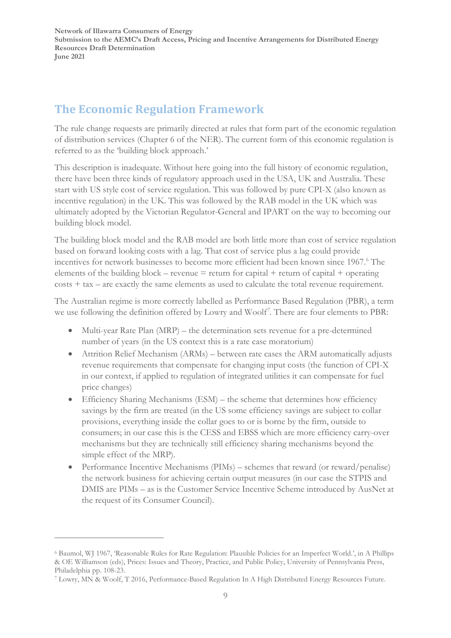## **The Economic Regulation Framework**

The rule change requests are primarily directed at rules that form part of the economic regulation of distribution services (Chapter 6 of the NER). The current form of this economic regulation is referred to as the 'building block approach.'

This description is inadequate. Without here going into the full history of economic regulation, there have been three kinds of regulatory approach used in the USA, UK and Australia. These start with US style cost of service regulation. This was followed by pure CPI-X (also known as incentive regulation) in the UK. This was followed by the RAB model in the UK which was ultimately adopted by the Victorian Regulator-General and IPART on the way to becoming our building block model.

The building block model and the RAB model are both little more than cost of service regulation based on forward looking costs with a lag. That cost of service plus a lag could provide incentives for network businesses to become more efficient had been known since 1967.<sup>6</sup> The elements of the building block – revenue  $=$  return for capital + return of capital + operating costs + tax – are exactly the same elements as used to calculate the total revenue requirement.

The Australian regime is more correctly labelled as Performance Based Regulation (PBR), a term we use following the definition offered by Lowry and Woolf*[7](#page-9-1) .* There are four elements to PBR:

- Multi-year Rate Plan (MRP) the determination sets revenue for a pre-determined number of years (in the US context this is a rate case moratorium)
- Attrition Relief Mechanism (ARMs) between rate cases the ARM automatically adjusts revenue requirements that compensate for changing input costs (the function of CPI-X in our context, if applied to regulation of integrated utilities it can compensate for fuel price changes)
- Efficiency Sharing Mechanisms (ESM) the scheme that determines how efficiency savings by the firm are treated (in the US some efficiency savings are subject to collar provisions, everything inside the collar goes to or is borne by the firm, outside to consumers; in our case this is the CESS and EBSS which are more efficiency carry-over mechanisms but they are technically still efficiency sharing mechanisms beyond the simple effect of the MRP).
- Performance Incentive Mechanisms (PIMs) schemes that reward (or reward/penalise) the network business for achieving certain output measures (in our case the STPIS and DMIS are PIMs – as is the Customer Service Incentive Scheme introduced by AusNet at the request of its Consumer Council).

<span id="page-9-0"></span><sup>6</sup> Baumol, WJ 1967, 'Reasonable Rules for Rate Regulation: Plausible Policies for an Imperfect World.', in A Phillips & OE Williamson (eds), Prices: Issues and Theory, Practice, and Public Policy, University of Pennsylvania Press, Philadelphia pp. 108-23.

<span id="page-9-1"></span><sup>7</sup> Lowry, MN & Woolf, T 2016, Performance-Based Regulation In A High Distributed Energy Resources Future.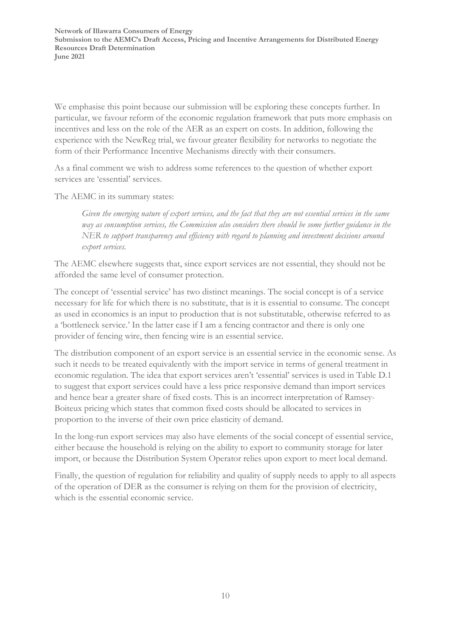We emphasise this point because our submission will be exploring these concepts further. In particular, we favour reform of the economic regulation framework that puts more emphasis on incentives and less on the role of the AER as an expert on costs. In addition, following the experience with the NewReg trial, we favour greater flexibility for networks to negotiate the form of their Performance Incentive Mechanisms directly with their consumers.

As a final comment we wish to address some references to the question of whether export services are 'essential' services.

The AEMC in its summary states:

*Given the emerging nature of export services, and the fact that they are not essential services in the same way as consumption services, the Commission also considers there should be some further guidance in the NER to support transparency and efficiency with regard to planning and investment decisions around export services.*

The AEMC elsewhere suggests that, since export services are not essential, they should not be afforded the same level of consumer protection.

The concept of 'essential service' has two distinct meanings. The social concept is of a service necessary for life for which there is no substitute, that is it is essential to consume. The concept as used in economics is an input to production that is not substitutable, otherwise referred to as a 'bottleneck service.' In the latter case if I am a fencing contractor and there is only one provider of fencing wire, then fencing wire is an essential service.

The distribution component of an export service is an essential service in the economic sense. As such it needs to be treated equivalently with the import service in terms of general treatment in economic regulation. The idea that export services aren't 'essential' services is used in Table D.1 to suggest that export services could have a less price responsive demand than import services and hence bear a greater share of fixed costs. This is an incorrect interpretation of Ramsey-Boiteux pricing which states that common fixed costs should be allocated to services in proportion to the inverse of their own price elasticity of demand.

In the long-run export services may also have elements of the social concept of essential service, either because the household is relying on the ability to export to community storage for later import, or because the Distribution System Operator relies upon export to meet local demand.

Finally, the question of regulation for reliability and quality of supply needs to apply to all aspects of the operation of DER as the consumer is relying on them for the provision of electricity, which is the essential economic service.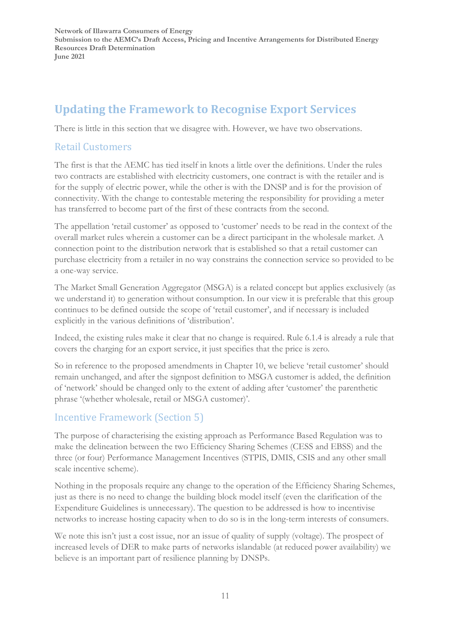# **Updating the Framework to Recognise Export Services**

There is little in this section that we disagree with. However, we have two observations.

### Retail Customers

The first is that the AEMC has tied itself in knots a little over the definitions. Under the rules two contracts are established with electricity customers, one contract is with the retailer and is for the supply of electric power, while the other is with the DNSP and is for the provision of connectivity. With the change to contestable metering the responsibility for providing a meter has transferred to become part of the first of these contracts from the second.

The appellation 'retail customer' as opposed to 'customer' needs to be read in the context of the overall market rules wherein a customer can be a direct participant in the wholesale market. A connection point to the distribution network that is established so that a retail customer can purchase electricity from a retailer in no way constrains the connection service so provided to be a one-way service.

The Market Small Generation Aggregator (MSGA) is a related concept but applies exclusively (as we understand it) to generation without consumption. In our view it is preferable that this group continues to be defined outside the scope of 'retail customer', and if necessary is included explicitly in the various definitions of 'distribution'.

Indeed, the existing rules make it clear that no change is required. Rule 6.1.4 is already a rule that covers the charging for an export service, it just specifies that the price is zero.

So in reference to the proposed amendments in Chapter 10, we believe 'retail customer' should remain unchanged, and after the signpost definition to MSGA customer is added, the definition of 'network' should be changed only to the extent of adding after 'customer' the parenthetic phrase '(whether wholesale, retail or MSGA customer)'.

### Incentive Framework (Section 5)

The purpose of characterising the existing approach as Performance Based Regulation was to make the delineation between the two Efficiency Sharing Schemes (CESS and EBSS) and the three (or four) Performance Management Incentives (STPIS, DMIS, CSIS and any other small scale incentive scheme).

Nothing in the proposals require any change to the operation of the Efficiency Sharing Schemes, just as there is no need to change the building block model itself (even the clarification of the Expenditure Guidelines is unnecessary). The question to be addressed is how to incentivise networks to increase hosting capacity when to do so is in the long-term interests of consumers.

We note this isn't just a cost issue, nor an issue of quality of supply (voltage). The prospect of increased levels of DER to make parts of networks islandable (at reduced power availability) we believe is an important part of resilience planning by DNSPs.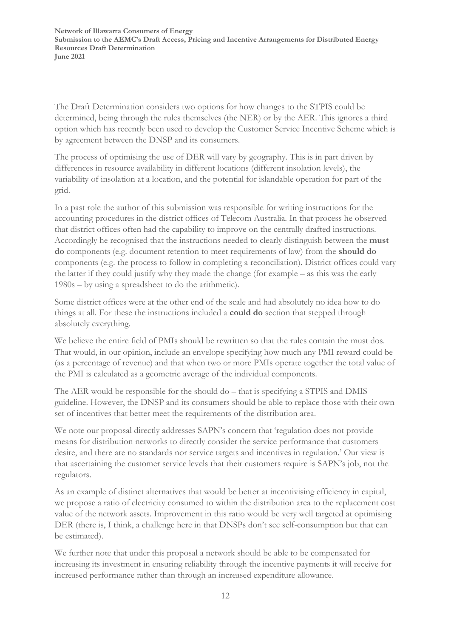The Draft Determination considers two options for how changes to the STPIS could be determined, being through the rules themselves (the NER) or by the AER. This ignores a third option which has recently been used to develop the Customer Service Incentive Scheme which is by agreement between the DNSP and its consumers.

The process of optimising the use of DER will vary by geography. This is in part driven by differences in resource availability in different locations (different insolation levels), the variability of insolation at a location, and the potential for islandable operation for part of the grid.

In a past role the author of this submission was responsible for writing instructions for the accounting procedures in the district offices of Telecom Australia. In that process he observed that district offices often had the capability to improve on the centrally drafted instructions. Accordingly he recognised that the instructions needed to clearly distinguish between the **must do** components (e.g. document retention to meet requirements of law) from the **should do** components (e.g. the process to follow in completing a reconciliation). District offices could vary the latter if they could justify why they made the change (for example – as this was the early 1980s – by using a spreadsheet to do the arithmetic).

Some district offices were at the other end of the scale and had absolutely no idea how to do things at all. For these the instructions included a **could do** section that stepped through absolutely everything.

We believe the entire field of PMIs should be rewritten so that the rules contain the must dos. That would, in our opinion, include an envelope specifying how much any PMI reward could be (as a percentage of revenue) and that when two or more PMIs operate together the total value of the PMI is calculated as a geometric average of the individual components.

The AER would be responsible for the should do – that is specifying a STPIS and DMIS guideline. However, the DNSP and its consumers should be able to replace those with their own set of incentives that better meet the requirements of the distribution area.

We note our proposal directly addresses SAPN's concern that 'regulation does not provide means for distribution networks to directly consider the service performance that customers desire, and there are no standards nor service targets and incentives in regulation.' Our view is that ascertaining the customer service levels that their customers require is SAPN's job, not the regulators.

As an example of distinct alternatives that would be better at incentivising efficiency in capital, we propose a ratio of electricity consumed to within the distribution area to the replacement cost value of the network assets. Improvement in this ratio would be very well targeted at optimising DER (there is, I think, a challenge here in that DNSPs don't see self-consumption but that can be estimated).

We further note that under this proposal a network should be able to be compensated for increasing its investment in ensuring reliability through the incentive payments it will receive for increased performance rather than through an increased expenditure allowance.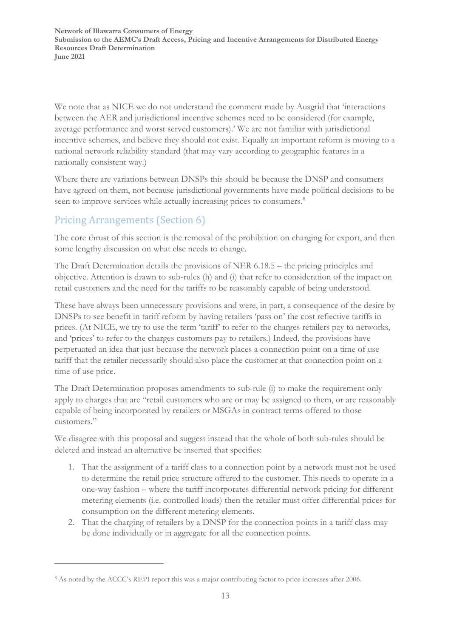We note that as NICE we do not understand the comment made by Ausgrid that 'interactions between the AER and jurisdictional incentive schemes need to be considered (for example, average performance and worst served customers).' We are not familiar with jurisdictional incentive schemes, and believe they should not exist. Equally an important reform is moving to a national network reliability standard (that may vary according to geographic features in a nationally consistent way.)

Where there are variations between DNSPs this should be because the DNSP and consumers have agreed on them, not because jurisdictional governments have made political decisions to be seen to improve services while actually increasing prices to consumers.<sup>[8](#page-13-0)</sup>

### Pricing Arrangements (Section 6)

The core thrust of this section is the removal of the prohibition on charging for export, and then some lengthy discussion on what else needs to change.

The Draft Determination details the provisions of NER 6.18.5 – the pricing principles and objective. Attention is drawn to sub-rules (h) and (i) that refer to consideration of the impact on retail customers and the need for the tariffs to be reasonably capable of being understood.

These have always been unnecessary provisions and were, in part, a consequence of the desire by DNSPs to see benefit in tariff reform by having retailers 'pass on' the cost reflective tariffs in prices. (At NICE, we try to use the term 'tariff' to refer to the charges retailers pay to networks, and 'prices' to refer to the charges customers pay to retailers.) Indeed, the provisions have perpetuated an idea that just because the network places a connection point on a time of use tariff that the retailer necessarily should also place the customer at that connection point on a time of use price.

The Draft Determination proposes amendments to sub-rule (i) to make the requirement only apply to charges that are "retail customers who are or may be assigned to them, or are reasonably capable of being incorporated by retailers or MSGAs in contract terms offered to those customers."

We disagree with this proposal and suggest instead that the whole of both sub-rules should be deleted and instead an alternative be inserted that specifies:

- 1. That the assignment of a tariff class to a connection point by a network must not be used to determine the retail price structure offered to the customer. This needs to operate in a one-way fashion – where the tariff incorporates differential network pricing for different metering elements (i.e. controlled loads) then the retailer must offer differential prices for consumption on the different metering elements.
- 2. That the charging of retailers by a DNSP for the connection points in a tariff class may be done individually or in aggregate for all the connection points.

<span id="page-13-0"></span><sup>8</sup> As noted by the ACCC's REPI report this was a major contributing factor to price increases after 2006.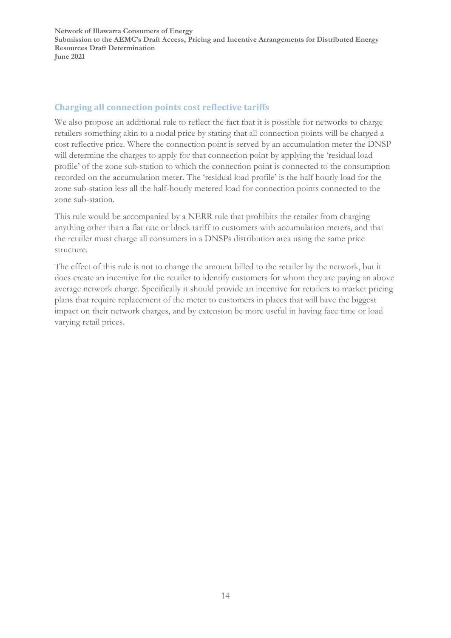#### **Charging all connection points cost reflective tariffs**

We also propose an additional rule to reflect the fact that it is possible for networks to charge retailers something akin to a nodal price by stating that all connection points will be charged a cost reflective price. Where the connection point is served by an accumulation meter the DNSP will determine the charges to apply for that connection point by applying the 'residual load profile' of the zone sub-station to which the connection point is connected to the consumption recorded on the accumulation meter. The 'residual load profile' is the half hourly load for the zone sub-station less all the half-hourly metered load for connection points connected to the zone sub-station.

This rule would be accompanied by a NERR rule that prohibits the retailer from charging anything other than a flat rate or block tariff to customers with accumulation meters, and that the retailer must charge all consumers in a DNSPs distribution area using the same price structure.

The effect of this rule is not to change the amount billed to the retailer by the network, but it does create an incentive for the retailer to identify customers for whom they are paying an above average network charge. Specifically it should provide an incentive for retailers to market pricing plans that require replacement of the meter to customers in places that will have the biggest impact on their network charges, and by extension be more useful in having face time or load varying retail prices.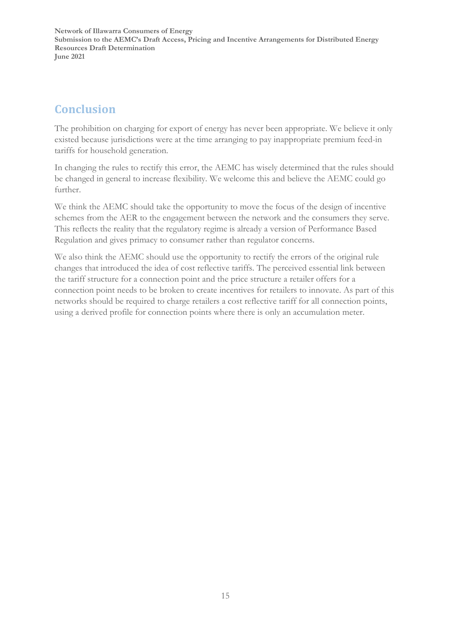## **Conclusion**

The prohibition on charging for export of energy has never been appropriate. We believe it only existed because jurisdictions were at the time arranging to pay inappropriate premium feed-in tariffs for household generation.

In changing the rules to rectify this error, the AEMC has wisely determined that the rules should be changed in general to increase flexibility. We welcome this and believe the AEMC could go further.

We think the AEMC should take the opportunity to move the focus of the design of incentive schemes from the AER to the engagement between the network and the consumers they serve. This reflects the reality that the regulatory regime is already a version of Performance Based Regulation and gives primacy to consumer rather than regulator concerns.

We also think the AEMC should use the opportunity to rectify the errors of the original rule changes that introduced the idea of cost reflective tariffs. The perceived essential link between the tariff structure for a connection point and the price structure a retailer offers for a connection point needs to be broken to create incentives for retailers to innovate. As part of this networks should be required to charge retailers a cost reflective tariff for all connection points, using a derived profile for connection points where there is only an accumulation meter.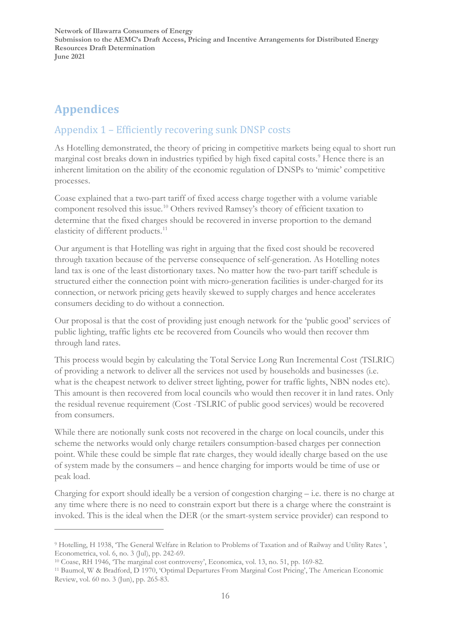# **Appendices**

### Appendix 1 – Efficiently recovering sunk DNSP costs

As Hotelling demonstrated, the theory of pricing in competitive markets being equal to short run marginal cost breaks down in industries typified by high fixed capital costs.<sup>[9](#page-16-0)</sup> Hence there is an inherent limitation on the ability of the economic regulation of DNSPs to 'mimic' competitive processes.

Coase explained that a two-part tariff of fixed access charge together with a volume variable component resolved this issue. [10](#page-16-1) Others revived Ramsey's theory of efficient taxation to determine that the fixed charges should be recovered in inverse proportion to the demand elasticity of different products.<sup>[11](#page-16-2)</sup>

Our argument is that Hotelling was right in arguing that the fixed cost should be recovered through taxation because of the perverse consequence of self-generation. As Hotelling notes land tax is one of the least distortionary taxes. No matter how the two-part tariff schedule is structured either the connection point with micro-generation facilities is under-charged for its connection, or network pricing gets heavily skewed to supply charges and hence accelerates consumers deciding to do without a connection.

Our proposal is that the cost of providing just enough network for the 'public good' services of public lighting, traffic lights etc be recovered from Councils who would then recover thm through land rates.

This process would begin by calculating the Total Service Long Run Incremental Cost (TSLRIC) of providing a network to deliver all the services not used by households and businesses (i.e. what is the cheapest network to deliver street lighting, power for traffic lights, NBN nodes etc). This amount is then recovered from local councils who would then recover it in land rates. Only the residual revenue requirement (Cost -TSLRIC of public good services) would be recovered from consumers.

While there are notionally sunk costs not recovered in the charge on local councils, under this scheme the networks would only charge retailers consumption-based charges per connection point. While these could be simple flat rate charges, they would ideally charge based on the use of system made by the consumers – and hence charging for imports would be time of use or peak load.

Charging for export should ideally be a version of congestion charging – i.e. there is no charge at any time where there is no need to constrain export but there is a charge where the constraint is invoked. This is the ideal when the DER (or the smart-system service provider) can respond to

<span id="page-16-0"></span><sup>9</sup> Hotelling, H 1938, 'The General Welfare in Relation to Problems of Taxation and of Railway and Utility Rates ', Econometrica, vol. 6, no. 3 (Jul), pp. 242-69.

<span id="page-16-1"></span><sup>10</sup> Coase, RH 1946, 'The marginal cost controversy', Economica, vol. 13, no. 51, pp. 169-82.

<span id="page-16-2"></span><sup>11</sup> Baumol, W & Bradford, D 1970, 'Optimal Departures From Marginal Cost Pricing', The American Economic Review, vol. 60 no. 3 (Jun), pp. 265-83.